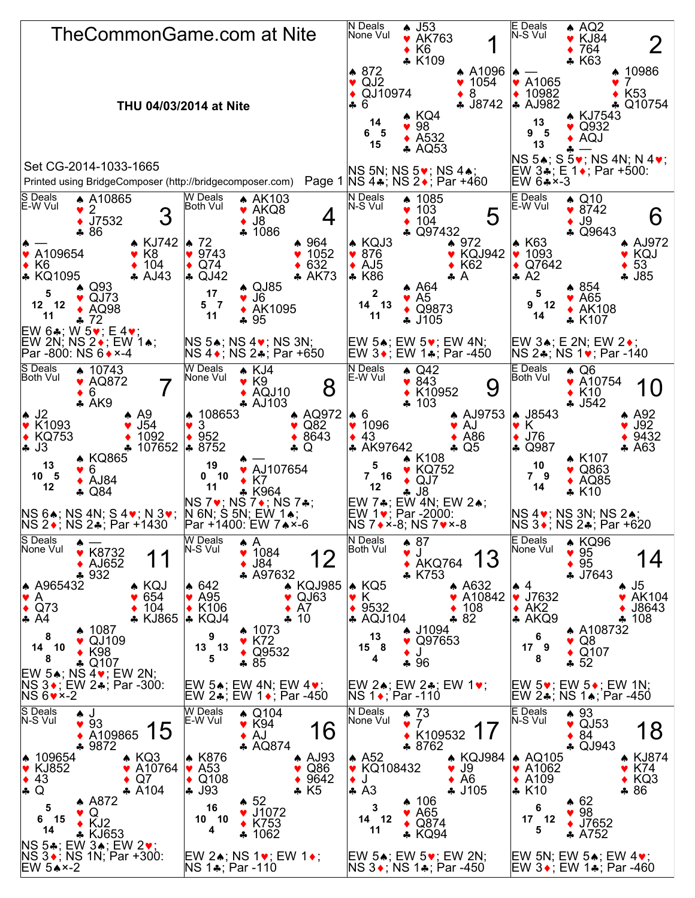